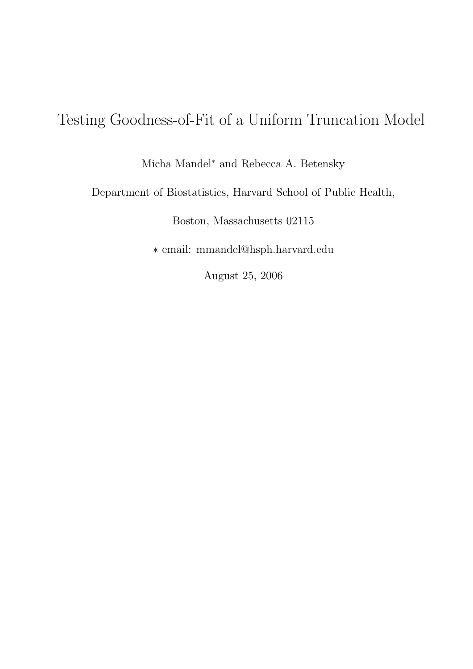# Testing Goodness-of-Fit of a Uniform Truncation Model

Micha Mandel<sup>∗</sup> and Rebecca A. Betensky

Department of Biostatistics, Harvard School of Public Health,

Boston, Massachusetts 02115

∗ email: mmandel@hsph.harvard.edu

August 25, 2006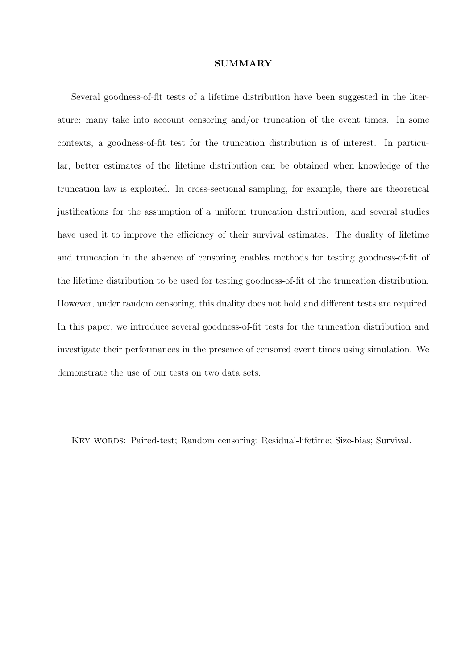#### SUMMARY

Several goodness-of-fit tests of a lifetime distribution have been suggested in the literature; many take into account censoring and/or truncation of the event times. In some contexts, a goodness-of-fit test for the truncation distribution is of interest. In particular, better estimates of the lifetime distribution can be obtained when knowledge of the truncation law is exploited. In cross-sectional sampling, for example, there are theoretical justifications for the assumption of a uniform truncation distribution, and several studies have used it to improve the efficiency of their survival estimates. The duality of lifetime and truncation in the absence of censoring enables methods for testing goodness-of-fit of the lifetime distribution to be used for testing goodness-of-fit of the truncation distribution. However, under random censoring, this duality does not hold and different tests are required. In this paper, we introduce several goodness-of-fit tests for the truncation distribution and investigate their performances in the presence of censored event times using simulation. We demonstrate the use of our tests on two data sets.

KEY WORDS: Paired-test; Random censoring; Residual-lifetime; Size-bias; Survival.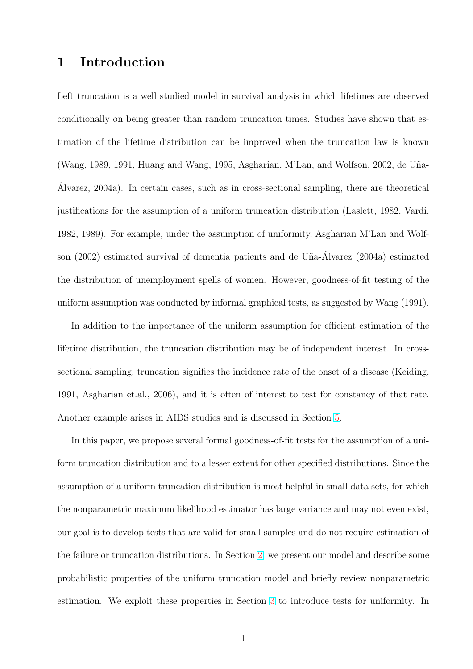# 1 Introduction

Left truncation is a well studied model in survival analysis in which lifetimes are observed conditionally on being greater than random truncation times. Studies have shown that estimation of the lifetime distribution can be improved when the truncation law is known (Wang, 1989, 1991, Huang and Wang, 1995, Asgharian, M'Lan, and Wolfson, 2002, de U˜na-Alvarez, 2004a). In certain cases, such as in cross-sectional sampling, there are theoretical ´ justifications for the assumption of a uniform truncation distribution (Laslett, 1982, Vardi, 1982, 1989). For example, under the assumption of uniformity, Asgharian M'Lan and Wolfson  $(2002)$  estimated survival of dementia patients and de Uña-Álvarez  $(2004a)$  estimated the distribution of unemployment spells of women. However, goodness-of-fit testing of the uniform assumption was conducted by informal graphical tests, as suggested by Wang (1991).

In addition to the importance of the uniform assumption for efficient estimation of the lifetime distribution, the truncation distribution may be of independent interest. In crosssectional sampling, truncation signifies the incidence rate of the onset of a disease (Keiding, 1991, Asgharian et.al., 2006), and it is often of interest to test for constancy of that rate. Another example arises in AIDS studies and is discussed in Section 5.

In this paper, we propose several formal goodness-of-fit tests for the assumption of a uniform truncation distribution and to a lesser extent for other specified [di](#page-14-0)stributions. Since the assumption of a uniform truncation distribution is most helpful in small data sets, for which the nonparametric maximum likelihood estimator has large variance and may not even exist, our goal is to develop tests that are valid for small samples and do not require estimation of the failure or truncation distributions. In Section 2, we present our model and describe some probabilistic properties of the uniform truncation model and briefly review nonparametric estimation. We exploit these properties in Secti[on](#page-3-0) 3 to introduce tests for uniformity. In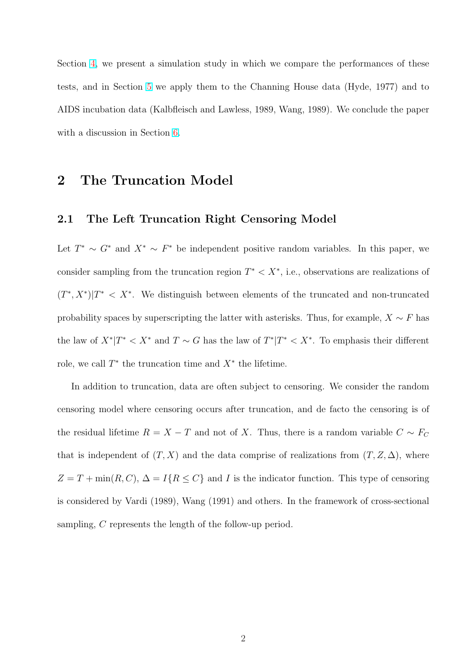<span id="page-3-0"></span>Section 4, we present a simulation study in which we compare the performances of these tests, and in Section 5 we apply them to the Channing House data (Hyde, 1977) and to AIDS i[ncu](#page-12-0)bation data (Kalbfleisch and Lawless, 1989, Wang, 1989). We conclude the paper with a discussion in S[ec](#page-14-0)tion **6**.

# 2 The Truncati[on](#page-16-0) Model

### 2.1 The Left Truncation Right Censoring Model

Let  $T^* \sim G^*$  and  $X^* \sim F^*$  be independent positive random variables. In this paper, we consider sampling from the truncation region  $T^* < X^*$ , i.e., observations are realizations of  $(T^*, X^*)|T^* \leq X^*$ . We distinguish between elements of the truncated and non-truncated probability spaces by superscripting the latter with asterisks. Thus, for example,  $X \sim F$  has the law of  $X^*|T^* < X^*$  and  $T \sim G$  has the law of  $T^*|T^* < X^*$ . To emphasis their different role, we call  $T^*$  the truncation time and  $X^*$  the lifetime.

In addition to truncation, data are often subject to censoring. We consider the random censoring model where censoring occurs after truncation, and de facto the censoring is of the residual lifetime  $R = X - T$  and not of X. Thus, there is a random variable  $C \sim F_C$ that is independent of  $(T, X)$  and the data comprise of realizations from  $(T, Z, \Delta)$ , where  $Z = T + min(R, C), \Delta = I\{R \leq C\}$  and I is the indicator function. This type of censoring is considered by Vardi (1989), Wang (1991) and others. In the framework of cross-sectional sampling, C represents the length of the follow-up period.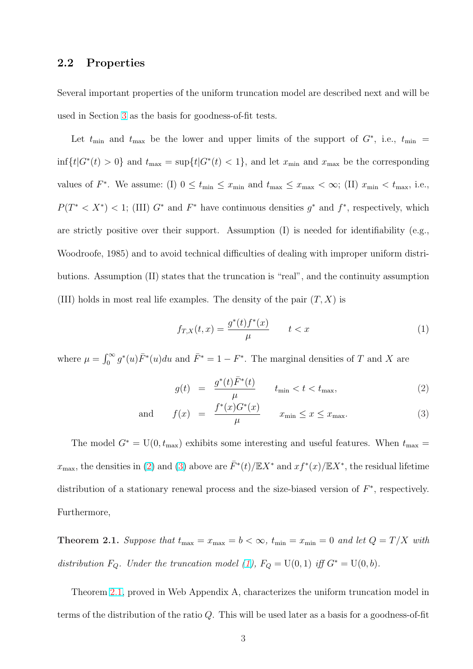### <span id="page-4-0"></span>2.2 Properties

Several important properties of the uniform truncation model are described next and will be used in Section 3 as the basis for goodness-of-fit tests.

Let  $t_{\min}$  and  $t_{\max}$  be the lower and upper limits of the support of  $G^*$ , i.e.,  $t_{\min}$  =  $\inf\{t|G^*(t) > 0\}$  $\inf\{t|G^*(t) > 0\}$  and  $t_{\max} = \sup\{t|G^*(t) < 1\}$ , and let  $x_{\min}$  and  $x_{\max}$  be the corresponding values of  $F^*$ . We assume: (I)  $0 \le t_{\min} \le x_{\min}$  and  $t_{\max} \le x_{\max} < \infty$ ; (II)  $x_{\min} < t_{\max}$ , i.e.,  $P(T^* < X^*)$  < 1; (III)  $G^*$  and  $F^*$  have continuous densities  $g^*$  and  $f^*$ , respectively, which are strictly positive over their support. Assumption  $(I)$  is needed for identifiability (e.g., Woodroofe, 1985) and to avoid technical difficulties of dealing with improper uniform distributions. Assumption (II) states that the truncation is "real", and the continuity assumption (III) holds in most real life examples. The density of the pair  $(T, X)$  is

$$
f_{T,X}(t,x) = \frac{g^*(t)f^*(x)}{\mu} \qquad t < x \tag{1}
$$

where  $\mu = \int_{0}^{\infty}$  $\int_0^\infty g^*(u)\overline{F}^*(u)du$  and  $\overline{F}^*=1-F^*$ . The marginal densities of T and X are

$$
g(t) = \frac{g^*(t)\bar{F}^*(t)}{\mu} \qquad t_{\min} < t < t_{\max}, \tag{2}
$$

and 
$$
f(x) = \frac{f^*(x)G^*(x)}{\mu}
$$
  $x_{\min} \le x \le x_{\max}.$  (3)

The model  $G^* = U(0, t_{\text{max}})$  exhibits some interesting and useful features. When  $t_{\text{max}} =$  $x_{\text{max}}$ , the densities in (2) and (3) above are  $\bar{F}^*(t)/\mathbb{E} X^*$  and  $xf^*(x)/\mathbb{E} X^*$ , the residual lifetime distribution of a stationary renewal process and the size-biased version of  $F^*$ , respectively. Furthermore,

**Theorem 2.1.** Suppose that  $t_{\text{max}} = x_{\text{max}} = b < \infty$ ,  $t_{\text{min}} = x_{\text{min}} = 0$  and let  $Q = T/X$  with distribution  $F_Q$ . Under the truncation model (1),  $F_Q = U(0, 1)$  iff  $G^* = U(0, b)$ .

Theorem 2.1, proved in Web Appendix A, characterizes the uniform truncation model in terms of the distribution of the ratio Q. This will be used later as a basis for a goodness-of-fit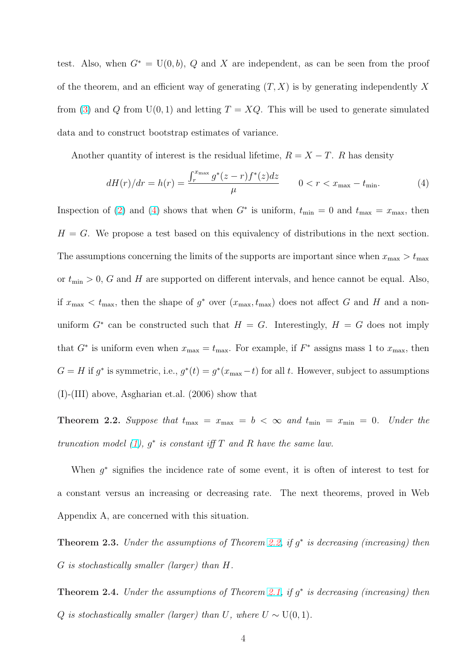<span id="page-5-0"></span>test. Also, when  $G^* = U(0, b)$ , Q and X are independent, as can be seen from the proof of the theorem, and an efficient way of generating  $(T, X)$  is by generating independently X from (3) and Q from  $U(0, 1)$  and letting  $T = XQ$ . This will be used to generate simulated data and to construct bootstrap estimates of variance.

A[not](#page-4-0)her quantity of interest is the residual lifetime,  $R = X - T$ . R has density

$$
dH(r)/dr = h(r) = \frac{\int_r^{x_{\text{max}}} g^*(z-r)f^*(z)dz}{\mu} \qquad 0 < r < x_{\text{max}} - t_{\text{min}}.\tag{4}
$$

Inspection of (2) and (4) shows that when  $G^*$  is uniform,  $t_{\min} = 0$  and  $t_{\max} = x_{\max}$ , then  $H = G$ . We propose a test based on this equivalency of distributions in the next section. The assumptio[ns](#page-4-0) concerning the limits of the supports are important since when  $x_{\text{max}} > t_{\text{max}}$ or  $t_{\min} > 0$ , G and H are supported on different intervals, and hence cannot be equal. Also, if  $x_{\text{max}} < t_{\text{max}}$ , then the shape of  $g^*$  over  $(x_{\text{max}}, t_{\text{max}})$  does not affect G and H and a nonuniform  $G^*$  can be constructed such that  $H = G$ . Interestingly,  $H = G$  does not imply that  $G^*$  is uniform even when  $x_{\text{max}} = t_{\text{max}}$ . For example, if  $F^*$  assigns mass 1 to  $x_{\text{max}}$ , then  $G = H$  if  $g^*$  is symmetric, i.e.,  $g^*(t) = g^*(x_{\text{max}} - t)$  for all t. However, subject to assumptions (I)-(III) above, Asgharian et.al. (2006) show that

**Theorem 2.2.** Suppose that  $t_{\text{max}} = x_{\text{max}} = b < \infty$  and  $t_{\text{min}} = x_{\text{min}} = 0$ . Under the truncation model  $(1)$ ,  $g^*$  is constant iff T and R have the same law.

When  $g^*$  signifies the incidence rate of some event, it is often of interest to test for a constant versus an increasing or decreasing rate. The next theorems, proved in Web Appendix A, are concerned with this situation.

**Theorem 2.3.** Under the assumptions of Theorem 2.2, if  $g^*$  is decreasing (increasing) then G is stochastically smaller (larger) than H.

**Theorem 2.4.** Under the assumptions of Theorem 2.1, if  $g^*$  is decreasing (increasing) then Q is stochastically smaller (larger) than U, where  $U \sim U(0, 1)$ .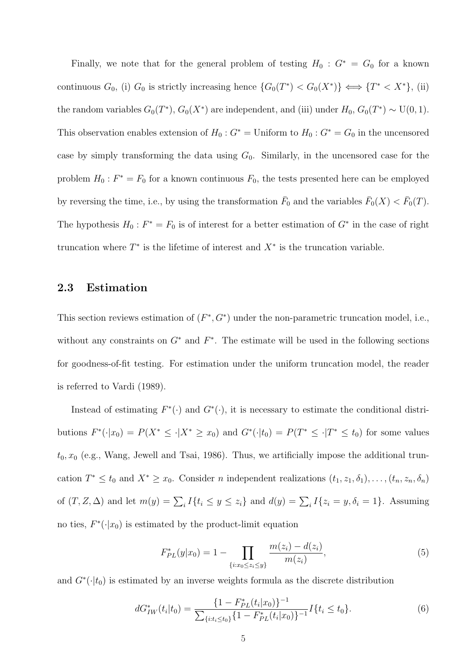<span id="page-6-0"></span>Finally, we note that for the general problem of testing  $H_0 : G^* = G_0$  for a known continuous  $G_0$ , (i)  $G_0$  is strictly increasing hence  $\{G_0(T^*)\langle G_0(X^*)\}\Longleftrightarrow \{T^*\langle X^*\},$  (ii) the random variables  $G_0(T^*)$ ,  $G_0(X^*)$  are independent, and (iii) under  $H_0$ ,  $G_0(T^*) \sim U(0, 1)$ . This observation enables extension of  $H_0: G^* =$  Uniform to  $H_0: G^* = G_0$  in the uncensored case by simply transforming the data using  $G_0$ . Similarly, in the uncensored case for the problem  $H_0: F^* = F_0$  for a known continuous  $F_0$ , the tests presented here can be employed by reversing the time, i.e., by using the transformation  $\bar{F}_0$  and the variables  $\bar{F}_0(X) < \bar{F}_0(T)$ . The hypothesis  $H_0: F^* = F_0$  is of interest for a better estimation of  $G^*$  in the case of right truncation where  $T^*$  is the lifetime of interest and  $X^*$  is the truncation variable.

### 2.3 Estimation

This section reviews estimation of  $(F^*, G^*)$  under the non-parametric truncation model, i.e., without any constraints on  $G^*$  and  $F^*$ . The estimate will be used in the following sections for goodness-of-fit testing. For estimation under the uniform truncation model, the reader is referred to Vardi (1989).

Instead of estimating  $F^*(\cdot)$  and  $G^*(\cdot)$ , it is necessary to estimate the conditional distributions  $F^*(\cdot|x_0) = P(X^* \leq \cdot | X^* \geq x_0)$  and  $G^*(\cdot | t_0) = P(T^* \leq \cdot | T^* \leq t_0)$  for some values  $t_0, x_0$  (e.g., Wang, Jewell and Tsai, 1986). Thus, we artificially impose the additional truncation  $T^* \leq t_0$  and  $X^* \geq x_0$ . Consider *n* independent realizations  $(t_1, z_1, \delta_1), \ldots, (t_n, z_n, \delta_n)$ of  $(T, Z, \Delta)$  and let  $m(y) = \sum_i I\{t_i \le y \le z_i\}$  and  $d(y) = \sum_i I\{z_i = y, \delta_i = 1\}$ . Assuming no ties,  $F^*(\cdot|x_0)$  is estimated by the product-limit equation

$$
F_{PL}^*(y|x_0) = 1 - \prod_{\{i:x_0 \le z_i \le y\}} \frac{m(z_i) - d(z_i)}{m(z_i)},\tag{5}
$$

and  $G^*(\cdot|t_0)$  is estimated by an inverse weights formula as the discrete distribution

$$
dG_{IW}^*(t_i|t_0) = \frac{\{1 - F_{PL}^*(t_i|x_0)\}^{-1}}{\sum_{\{i:t_i \le t_0\}} \{1 - F_{PL}^*(t_i|x_0)\}^{-1}} I\{t_i \le t_0\}.
$$
\n
$$
(6)
$$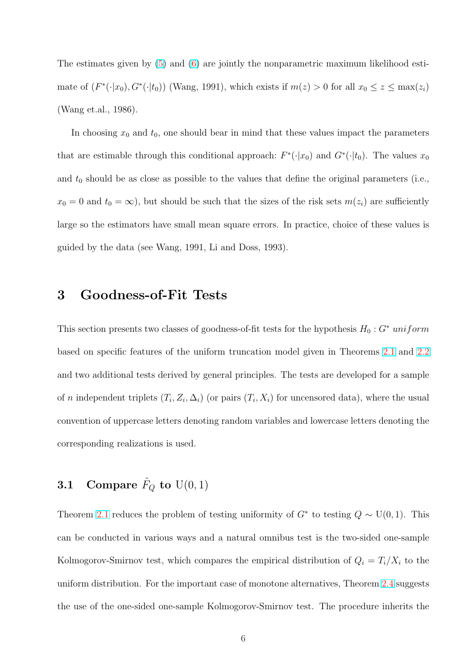<span id="page-7-0"></span>The estimates given by (5) and (6) are jointly the nonparametric maximum likelihood estimate of  $(F^*(\cdot|x_0), G^*(\cdot|t_0))$  (Wang, 1991), which exists if  $m(z) > 0$  for all  $x_0 \le z \le max(z_i)$ (Wang et.al., 1986).

In choosing  $x_0$  and  $t_0$ , one should bear in mind that these values impact the parameters that are estimable through this conditional approach:  $F^*(\cdot|x_0)$  and  $G^*(\cdot|t_0)$ . The values  $x_0$ and  $t_0$  should be as close as possible to the values that define the original parameters (i.e.,  $x_0 = 0$  and  $t_0 = \infty$ ), but should be such that the sizes of the risk sets  $m(z_i)$  are sufficiently large so the estimators have small mean square errors. In practice, choice of these values is guided by the data (see Wang, 1991, Li and Doss, 1993).

## 3 Goodness-of-Fit Tests

This section presents two classes of goodness-of-fit tests for the hypothesis  $H_0 : G^*$  uniform based on specific features of the uniform truncation model given in Theorems 2.1 and 2.2 and two additional tests derived by general principles. The tests are developed for a sample of *n* independent triplets  $(T_i, Z_i, \Delta_i)$  (or pairs  $(T_i, X_i)$  for uncensored data), whe[re th](#page-4-0)e u[sual](#page-5-0) convention of uppercase letters denoting random variables and lowercase letters denoting the corresponding realizations is used.

# **3.1** Compare  $\hat{F}_Q$  to  $U(0, 1)$

Theorem 2.1 reduces the problem of testing uniformity of  $G^*$  to testing  $Q \sim U(0, 1)$ . This can be conducted in various ways and a natural omnibus test is the two-sided one-sample Kolmogo[rov-S](#page-4-0)mirnov test, which compares the empirical distribution of  $Q_i = T_i/X_i$  to the uniform distribution. For the important case of monotone alternatives, Theorem 2.4 suggests the use of the one-sided one-sample Kolmogorov-Smirnov test. The procedure inherits the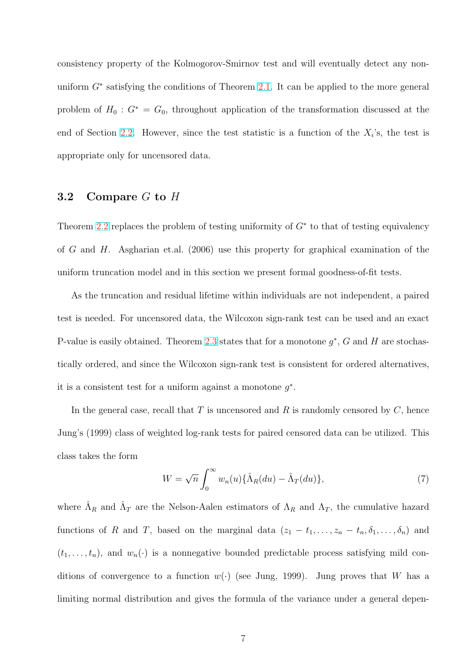consistency property of the Kolmogorov-Smirnov test and will eventually detect any nonuniform  $G^*$  satisfying the conditions of Theorem 2.1. It can be applied to the more general problem of  $H_0: G^* = G_0$ , throughout application of the transformation discussed at the end of Section 2.2. However, since the test sta[tistic](#page-4-0) is a function of the  $X_i$ 's, the test is appropriate only for uncensored data.

### 3.2 Compare  $G$  to  $H$

Theorem 2.2 replaces the problem of testing uniformity of  $G^*$  to that of testing equivalency of G and H. Asgharian et.al.  $(2006)$  use this property for graphical examination of the uniform [trun](#page-5-0)cation model and in this section we present formal goodness-of-fit tests.

As the truncation and residual lifetime within individuals are not independent, a paired test is needed. For uncensored data, the Wilcoxon sign-rank test can be used and an exact P-value is easily obtained. Theorem 2.3 states that for a monotone  $g^*$ , G and H are stochastically ordered, and since the Wilcoxon sign-rank test is consistent for ordered alternatives, it is a consistent test for a uniform [agai](#page-5-0)nst a monotone  $g^*$ .

In the general case, recall that  $T$  is uncensored and  $R$  is randomly censored by  $C$ , hence Jung's (1999) class of weighted log-rank tests for paired censored data can be utilized. This class takes the form

$$
W = \sqrt{n} \int_0^\infty w_n(u) \{\hat{\Lambda}_R(du) - \hat{\Lambda}_T(du)\},\tag{7}
$$

where  $\hat{\Lambda}_R$  and  $\hat{\Lambda}_T$  are the Nelson-Aalen estimators of  $\Lambda_R$  and  $\Lambda_T$ , the cumulative hazard functions of R and T, based on the marginal data  $(z_1 - t_1, \ldots, z_n - t_n, \delta_1, \ldots, \delta_n)$  and  $(t_1, \ldots, t_n)$ , and  $w_n(\cdot)$  is a nonnegative bounded predictable process satisfying mild conditions of convergence to a function  $w(\cdot)$  (see Jung, 1999). Jung proves that W has a limiting normal distribution and gives the formula of the variance under a general depen-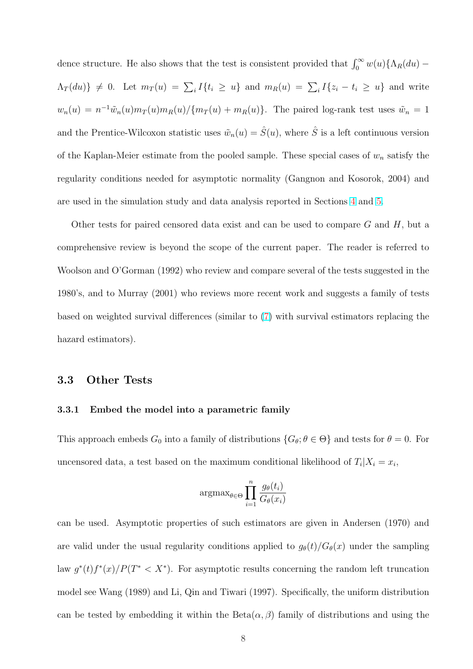dence structure. He also shows that the test is consistent provided that  $\int_0^\infty w(u) \{\Lambda_R(du) \Lambda_T(du) \} \neq 0$ . Let  $m_T(u) = \sum_i I\{t_i \geq u\}$  and  $m_R(u) = \sum_i I\{z_i - t_i \geq u\}$  and write  $w_n(u) = n^{-1} \tilde{w}_n(u) m_T(u) m_R(u) / \{m_T(u) + m_R(u)\}.$  The paired log-rank test uses  $\tilde{w}_n = 1$ and the Prentice-Wilcoxon statistic uses  $\tilde{w}_n(u) = \hat{S}(u)$ , where  $\hat{S}$  is a left continuous version of the Kaplan-Meier estimate from the pooled sample. These special cases of  $w_n$  satisfy the regularity conditions needed for asymptotic normality (Gangnon and Kosorok, 2004) and are used in the simulation study and data analysis reported in Sections 4 and 5.

Other tests for paired censored data exist and can be used to compare  $G$  and  $H$ , but a comprehensive review is beyond the scope of the current paper. The [rea](#page-12-0)der [is](#page-14-0) referred to Woolson and O'Gorman (1992) who review and compare several of the tests suggested in the 1980's, and to Murray (2001) who reviews more recent work and suggests a family of tests based on weighted survival differences (similar to (7) with survival estimators replacing the hazard estimators).

### 3.3 Other Tests

#### 3.3.1 Embed the model into a parametric family

This approach embeds  $G_0$  into a family of distributions  $\{G_\theta; \theta \in \Theta\}$  and tests for  $\theta = 0$ . For uncensored data, a test based on the maximum conditional likelihood of  $T_i|X_i = x_i$ ,

$$
\operatorname{argmax}_{\theta \in \Theta} \prod_{i=1}^{n} \frac{g_{\theta}(t_i)}{G_{\theta}(x_i)}
$$

can be used. Asymptotic properties of such estimators are given in Andersen (1970) and are valid under the usual regularity conditions applied to  $g_{\theta}(t)/G_{\theta}(x)$  under the sampling law  $g^*(t)f^*(x)/P(T^* \lt X^*)$ . For asymptotic results concerning the random left truncation model see Wang (1989) and Li, Qin and Tiwari (1997). Specifically, the uniform distribution can be tested by embedding it within the  $Beta(\alpha, \beta)$  family of distributions and using the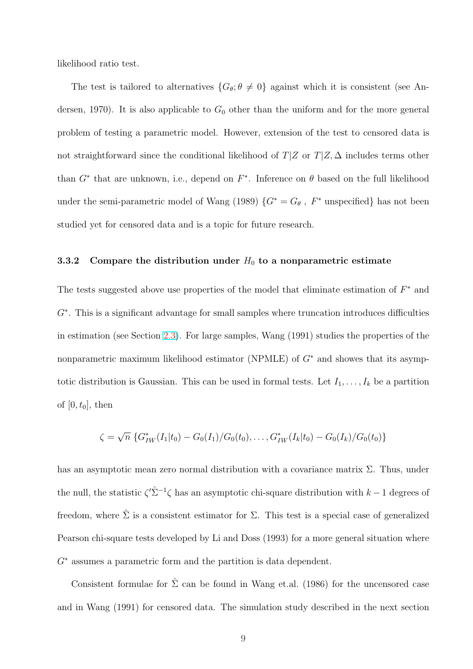likelihood ratio test.

The test is tailored to alternatives  $\{G_\theta; \theta \neq 0\}$  against which it is consistent (see Andersen, 1970). It is also applicable to  $G_0$  other than the uniform and for the more general problem of testing a parametric model. However, extension of the test to censored data is not straightforward since the conditional likelihood of  $T|Z$  or  $T|Z, \Delta$  includes terms other than  $G^*$  that are unknown, i.e., depend on  $F^*$ . Inference on  $\theta$  based on the full likelihood under the semi-parametric model of Wang (1989)  ${G^* = G_\theta, F^*}$  unspecified has not been studied yet for censored data and is a topic for future research.

### 3.3.2 Compare the distribution under  $H_0$  to a nonparametric estimate

The tests suggested above use properties of the model that eliminate estimation of  $F^*$  and G<sup>\*</sup>. This is a significant advantage for small samples where truncation introduces difficulties in estimation (see Section 2.3). For large samples, Wang (1991) studies the properties of the nonparametric maximum likelihood estimator (NPMLE) of  $G^*$  and showes that its asymptotic distribution is Gauss[ian.](#page-6-0) This can be used in formal tests. Let  $I_1, \ldots, I_k$  be a partition of  $[0, t_0]$ , then

$$
\zeta = \sqrt{n} \left\{ G_{IW}^*(I_1|t_0) - G_0(I_1)/G_0(t_0), \ldots, G_{IW}^*(I_k|t_0) - G_0(I_k)/G_0(t_0) \right\}
$$

has an asymptotic mean zero normal distribution with a covariance matrix  $\Sigma$ . Thus, under the null, the statistic  $\zeta' \hat{\Sigma}^{-1} \zeta$  has an asymptotic chi-square distribution with  $k-1$  degrees of freedom, where  $\hat{\Sigma}$  is a consistent estimator for  $\Sigma$ . This test is a special case of generalized Pearson chi-square tests developed by Li and Doss (1993) for a more general situation where  $G^*$  assumes a parametric form and the partition is data dependent.

Consistent formulae for  $\hat{\Sigma}$  can be found in Wang et.al. (1986) for the uncensored case and in Wang (1991) for censored data. The simulation study described in the next section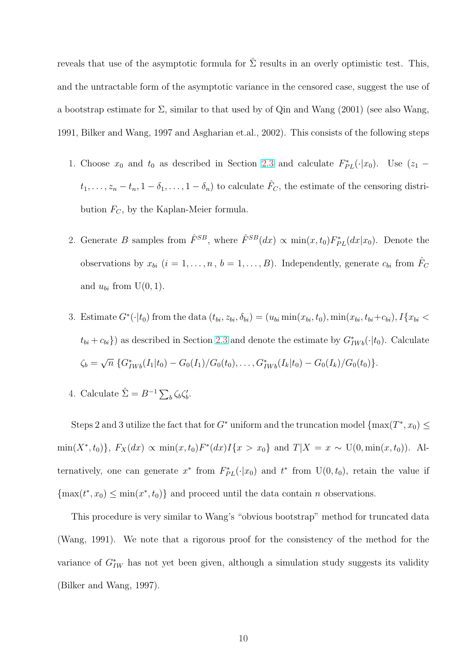reveals that use of the asymptotic formula for  $\hat{\Sigma}$  results in an overly optimistic test. This, and the untractable form of the asymptotic variance in the censored case, suggest the use of a bootstrap estimate for  $\Sigma$ , similar to that used by of Qin and Wang (2001) (see also Wang, 1991, Bilker and Wang, 1997 and Asgharian et.al., 2002). This consists of the following steps

- 1. Choose  $x_0$  and  $t_0$  as described in Section 2.3 and calculate  $F_{PL}^*(\cdot|x_0)$ . Use  $(z_1$  $t_1, \ldots, z_n - t_n, 1 - \delta_1, \ldots, 1 - \delta_n)$  to calculate  $\hat{F}_C$ , the estimate of the censoring distribution  $F_C$ , by the Kaplan-Meier formula.
- 2. Generate B samples from  $\hat{F}^{SB}$ , where  $\hat{F}^{SB}(dx) \propto \min(x,t_0) F_{PL}^*(dx|x_0)$ . Denote the observations by  $x_{bi}$   $(i = 1, \ldots, n, b = 1, \ldots, B)$ . Independently, generate  $c_{bi}$  from  $\hat{F}_C$ and  $u_{bi}$  from  $U(0, 1)$ .
- 3. Estimate  $G^*(\cdot|t_0)$  from the data  $(t_{bi}, z_{bi}, \delta_{bi}) = (u_{bi} \min(x_{bi}, t_0), \min(x_{bi}, t_{bi} + c_{bi}), I\{x_{bi} <$  $(t_{bi} + c_{bi})$  as described in Section 2.3 and denote the estimate by  $G^*_{IWb}(\cdot|t_0)$ . Calculate  $\zeta_b =$  $\sqrt{n} \left\{ G^*_{IWb}(I_1|t_0) - G_0(I_1)/G_0(t_0), \ldots, G^*_{IWb}(I_k|t_0) - G_0(I_k)/G_0(t_0) \right\}.$
- 4. Calculate  $\hat{\Sigma} = B^{-1} \sum_b \zeta_b \zeta_b'$ .

Steps 2 and 3 utilize the fact that for  $G^*$  uniform and the truncation model  $\{\max(T^*, x_0) \leq \}$  $\min(X^*, t_0)$ ,  $F_X(dx) \propto \min(x, t_0) F^*(dx) I\{x > x_0\}$  and  $T|X = x \sim U(0, \min(x, t_0))$ . Alternatively, one can generate  $x^*$  from  $F_{PL}^*(\cdot|x_0)$  and  $t^*$  from  $U(0, t_0)$ , retain the value if  ${\max(t^*, x_0) \leq \min(x^*, t_0)}$  and proceed until the data contain *n* observations.

This procedure is very similar to Wang's "obvious bootstrap" method for truncated data (Wang, 1991). We note that a rigorous proof for the consistency of the method for the variance of  $G_{IW}^*$  has not yet been given, although a simulation study suggests its validity (Bilker and Wang, 1997).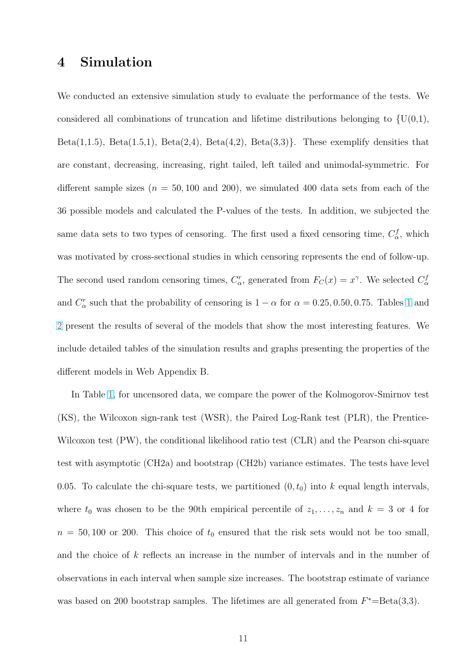# <span id="page-12-0"></span>4 Simulation

We conducted an extensive simulation study to evaluate the performance of the tests. We considered all combinations of truncation and lifetime distributions belonging to  $\{U(0,1),\}$ Beta(1,1.5), Beta(1.5,1), Beta(2,4), Beta(4,2), Beta(3,3). These exemplify densities that are constant, decreasing, increasing, right tailed, left tailed and unimodal-symmetric. For different sample sizes ( $n = 50, 100$  and 200), we simulated 400 data sets from each of the 36 possible models and calculated the P-values of the tests. In addition, we subjected the same data sets to two types of censoring. The first used a fixed censoring time,  $C_{\alpha}^{f}$ , which was motivated by cross-sectional studies in which censoring represents the end of follow-up. The second used random censoring times,  $C_{\alpha}^{r}$ , generated from  $F_{C}(x) = x^{\gamma}$ . We selected  $C_{\alpha}^{f}$ and  $C_{\alpha}^{r}$  such that the probability of censoring is  $1 - \alpha$  for  $\alpha = 0.25, 0.50, 0.75$ . Tables 1 and 2 present the results of several of the models that show the most interesting features. We include detailed tables of the simulation results and graphs presenting the properties [of](#page-24-0) the [di](#page-25-0)fferent models in Web Appendix B.

In Table 1, for uncensored data, we compare the power of the Kolmogorov-Smirnov test (KS), the Wilcoxon sign-rank test (WSR), the Paired Log-Rank test (PLR), the Prentice-Wilcoxon te[st](#page-24-0) (PW), the conditional likelihood ratio test (CLR) and the Pearson chi-square test with asymptotic (CH2a) and bootstrap (CH2b) variance estimates. The tests have level 0.05. To calculate the chi-square tests, we partitioned  $(0, t_0)$  into k equal length intervals, where  $t_0$  was chosen to be the 90th empirical percentile of  $z_1, \ldots, z_n$  and  $k = 3$  or 4 for  $n = 50,100$  or 200. This choice of  $t_0$  ensured that the risk sets would not be too small, and the choice of k reflects an increase in the number of intervals and in the number of observations in each interval when sample size increases. The bootstrap estimate of variance was based on 200 bootstrap samples. The lifetimes are all generated from  $F^* = Beta(3,3)$ .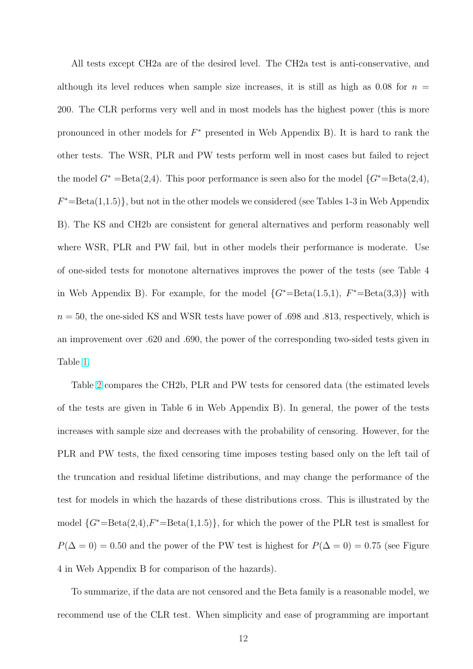All tests except CH2a are of the desired level. The CH2a test is anti-conservative, and although its level reduces when sample size increases, it is still as high as 0.08 for  $n =$ 200. The CLR performs very well and in most models has the highest power (this is more pronounced in other models for  $F^*$  presented in Web Appendix B). It is hard to rank the other tests. The WSR, PLR and PW tests perform well in most cases but failed to reject the model  $G^* = \text{Beta}(2,4)$ . This poor performance is seen also for the model  $\{G^* = \text{Beta}(2,4),\}$  $F^* = Beta(1,1.5)$ , but not in the other models we considered (see Tables 1-3 in Web Appendix B). The KS and CH2b are consistent for general alternatives and perform reasonably well where WSR, PLR and PW fail, but in other models their performance is moderate. Use of one-sided tests for monotone alternatives improves the power of the tests (see Table 4 in Web Appendix B). For example, for the model  $\{G^* = Beta(1.5,1), F^* = Beta(3,3)\}\$  with  $n = 50$ , the one-sided KS and WSR tests have power of .698 and .813, respectively, which is an improvement over .620 and .690, the power of the corresponding two-sided tests given in Table 1.

Table 2 compares the CH2b, PLR and PW tests for censored data (the estimated levels of the [t](#page-24-0)ests are given in Table 6 in Web Appendix B). In general, the power of the tests increases [w](#page-25-0)ith sample size and decreases with the probability of censoring. However, for the PLR and PW tests, the fixed censoring time imposes testing based only on the left tail of the truncation and residual lifetime distributions, and may change the performance of the test for models in which the hazards of these distributions cross. This is illustrated by the model  $\{G^* = \text{Beta}(2,4), F^* = \text{Beta}(1,1.5)\}\$ , for which the power of the PLR test is smallest for  $P(\Delta = 0) = 0.50$  and the power of the PW test is highest for  $P(\Delta = 0) = 0.75$  (see Figure 4 in Web Appendix B for comparison of the hazards).

To summarize, if the data are not censored and the Beta family is a reasonable model, we recommend use of the CLR test. When simplicity and ease of programming are important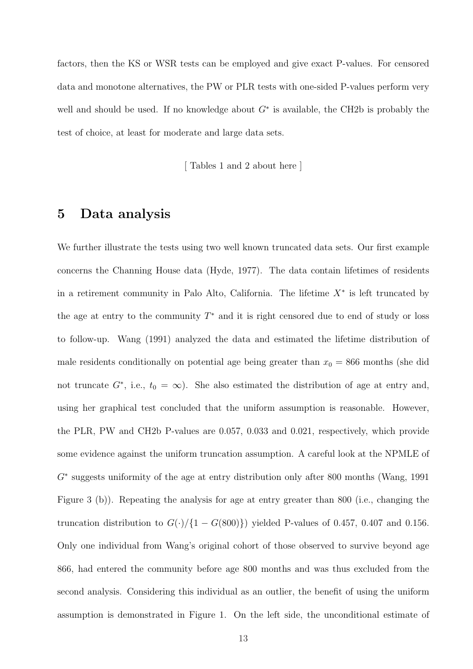<span id="page-14-0"></span>factors, then the KS or WSR tests can be employed and give exact P-values. For censored data and monotone alternatives, the PW or PLR tests with one-sided P-values perform very well and should be used. If no knowledge about  $G^*$  is available, the CH2b is probably the test of choice, at least for moderate and large data sets.

[ Tables 1 and 2 about here ]

# 5 Data analysis

We further illustrate the tests using two well known truncated data sets. Our first example concerns the Channing House data (Hyde, 1977). The data contain lifetimes of residents in a retirement community in Palo Alto, California. The lifetime  $X^*$  is left truncated by the age at entry to the community  $T^*$  and it is right censored due to end of study or loss to follow-up. Wang (1991) analyzed the data and estimated the lifetime distribution of male residents conditionally on potential age being greater than  $x_0 = 866$  months (she did not truncate  $G^*$ , i.e.,  $t_0 = \infty$ ). She also estimated the distribution of age at entry and, using her graphical test concluded that the uniform assumption is reasonable. However, the PLR, PW and CH2b P-values are 0.057, 0.033 and 0.021, respectively, which provide some evidence against the uniform truncation assumption. A careful look at the NPMLE of G<sup>\*</sup> suggests uniformity of the age at entry distribution only after 800 months (Wang, 1991) Figure 3 (b)). Repeating the analysis for age at entry greater than 800 (i.e., changing the truncation distribution to  $G(\cdot)/\{1 - G(800)\}\)$  yielded P-values of 0.457, 0.407 and 0.156. Only one individual from Wang's original cohort of those observed to survive beyond age 866, had entered the community before age 800 months and was thus excluded from the second analysis. Considering this individual as an outlier, the benefit of using the uniform assumption is demonstrated in Figure 1. On the left side, the unconditional estimate of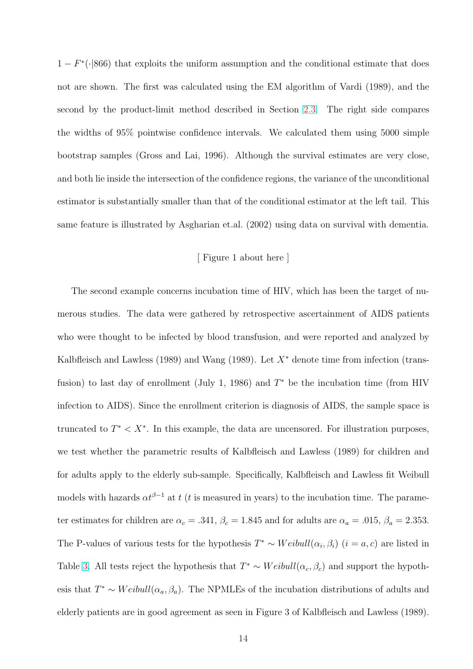$1 - F^*(\cdot|866)$  that exploits the uniform assumption and the conditional estimate that does not are shown. The first was calculated using the EM algorithm of Vardi (1989), and the second by the product-limit method described in Section 2.3. The right side compares the widths of 95% pointwise confidence intervals. We calculated them using 5000 simple bootstrap samples (Gross and Lai, 1996). Although the su[rviv](#page-6-0)al estimates are very close, and both lie inside the intersection of the confidence regions, the variance of the unconditional estimator is substantially smaller than that of the conditional estimator at the left tail. This same feature is illustrated by Asgharian et.al. (2002) using data on survival with dementia.

### [ Figure 1 about here ]

The second example concerns incubation time of HIV, which has been the target of numerous studies. The data were gathered by retrospective ascertainment of AIDS patients who were thought to be infected by blood transfusion, and were reported and analyzed by Kalbfleisch and Lawless (1989) and Wang (1989). Let  $X^*$  denote time from infection (transfusion) to last day of enrollment (July 1, 1986) and  $T^*$  be the incubation time (from HIV infection to AIDS). Since the enrollment criterion is diagnosis of AIDS, the sample space is truncated to  $T^* < X^*$ . In this example, the data are uncensored. For illustration purposes, we test whether the parametric results of Kalbfleisch and Lawless (1989) for children and for adults apply to the elderly sub-sample. Specifically, Kalbfleisch and Lawless fit Weibull models with hazards  $\alpha t^{\beta-1}$  at t (t is measured in years) to the incubation time. The parameter estimates for children are  $\alpha_c = .341$ ,  $\beta_c = 1.845$  and for adults are  $\alpha_a = .015$ ,  $\beta_a = 2.353$ . The P-values of various tests for the hypothesis  $T^* \sim Weibull(\alpha_i, \beta_i)$   $(i = a, c)$  are listed in Table 3. All tests reject the hypothesis that  $T^* \sim Weibull(\alpha_c, \beta_c)$  and support the hypothesis that  $T^* \sim Weibull(\alpha_a, \beta_a)$ . The NPMLEs of the incubation distributions of adults and elderl[y p](#page-26-0)atients are in good agreement as seen in Figure 3 of Kalbfleisch and Lawless (1989).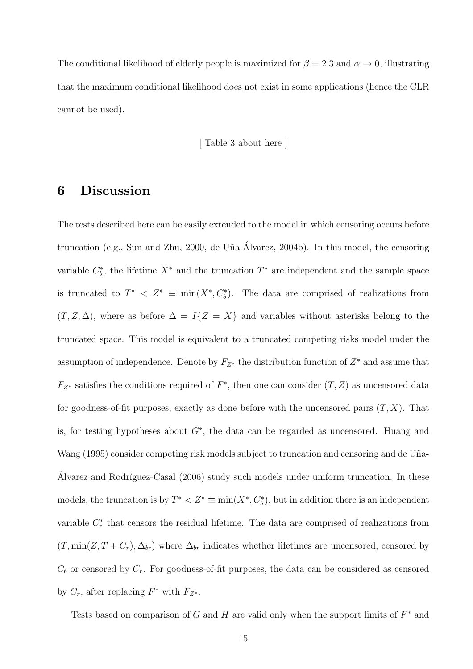<span id="page-16-0"></span>The conditional likelihood of elderly people is maximized for  $\beta = 2.3$  and  $\alpha \rightarrow 0$ , illustrating that the maximum conditional likelihood does not exist in some applications (hence the CLR cannot be used).

[ Table 3 about here ]

# 6 Discussion

The tests described here can be easily extended to the model in which censoring occurs before truncation (e.g., Sun and Zhu, 2000, de Uña-Álvarez, 2004b). In this model, the censoring variable  $C_b^*$ , the lifetime  $X^*$  and the truncation  $T^*$  are independent and the sample space is truncated to  $T^*$  <  $Z^*$  = min $(X^*, C_b^*)$ . The data are comprised of realizations from  $(T, Z, \Delta)$ , where as before  $\Delta = I{Z = X}$  and variables without asterisks belong to the truncated space. This model is equivalent to a truncated competing risks model under the assumption of independence. Denote by  $F_{Z^*}$  the distribution function of  $Z^*$  and assume that  $F_{Z^*}$  satisfies the conditions required of  $F^*$ , then one can consider  $(T, Z)$  as uncensored data for goodness-of-fit purposes, exactly as done before with the uncensored pairs  $(T, X)$ . That is, for testing hypotheses about  $G^*$ , the data can be regarded as uncensored. Huang and Wang (1995) consider competing risk models subject to truncation and censoring and de Uña-Alvarez and Rodríguez-Casal  $(2006)$  study such models under uniform truncation. In these models, the truncation is by  $T^* < Z^* \equiv \min(X^*, C_b^*)$ , but in addition there is an independent variable  $C_r^*$  that censors the residual lifetime. The data are comprised of realizations from  $(T, \min(Z, T + C_r), \Delta_{br})$  where  $\Delta_{br}$  indicates whether lifetimes are uncensored, censored by  $C_b$  or censored by  $C_r$ . For goodness-of-fit purposes, the data can be considered as censored by  $C_r$ , after replacing  $F^*$  with  $F_{Z^*}$ .

Tests based on comparison of G and H are valid only when the support limits of  $F^*$  and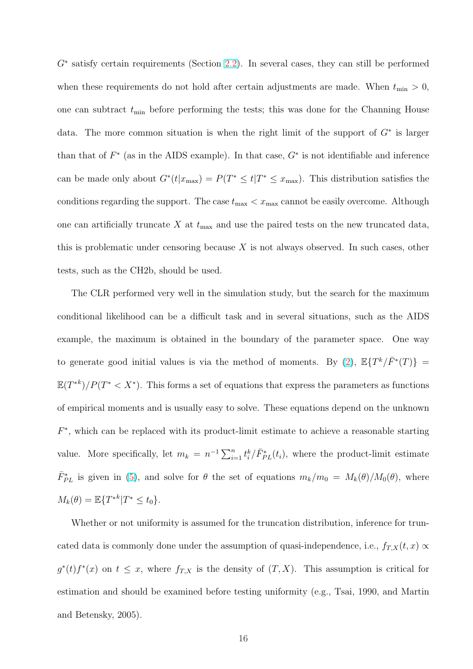G<sup>\*</sup> satisfy certain requirements (Section 2.2). In several cases, they can still be performed when these requirements do not hold after certain adjustments are made. When  $t_{\min} > 0$ , one can subtract  $t_{\text{min}}$  before performing [the](#page-4-0) tests; this was done for the Channing House data. The more common situation is when the right limit of the support of  $G^*$  is larger than that of  $F^*$  (as in the AIDS example). In that case,  $G^*$  is not identifiable and inference can be made only about  $G^*(t|x_{\text{max}}) = P(T^* \le t | T^* \le x_{\text{max}})$ . This distribution satisfies the conditions regarding the support. The case  $t_{\text{max}} < x_{\text{max}}$  cannot be easily overcome. Although one can artificially truncate  $X$  at  $t_{\text{max}}$  and use the paired tests on the new truncated data, this is problematic under censoring because  $X$  is not always observed. In such cases, other tests, such as the CH2b, should be used.

The CLR performed very well in the simulation study, but the search for the maximum conditional likelihood can be a difficult task and in several situations, such as the AIDS example, the maximum is obtained in the boundary of the parameter space. One way to generate good initial values is via the method of moments. By (2),  $\mathbb{E}\{T^k/\bar{F}^*(T)\}$  =  $\mathbb{E}(T^{*k})/P(T^{*} < X^{*})$ . This forms a set of equations that express the parameters as functions of empirical moments and is usually easy to solve. These equations de[pen](#page-4-0)d on the unknown  $F^*$ , which can be replaced with its product-limit estimate to achieve a reasonable starting value. More specifically, let  $m_k = n^{-1} \sum_{i=1}^n t_i^k / \bar{F}_{PL}^*(t_i)$ , where the product-limit estimate  $\bar{F}_{PL}^*$  is given in (5), and solve for  $\theta$  the set of equations  $m_k/m_0 = M_k(\theta)/M_0(\theta)$ , where  $M_k(\theta) = \mathbb{E}\{T^{*k}|T^* \le t_0\}.$ 

Whether or n[ot](#page-6-0) uniformity is assumed for the truncation distribution, inference for truncated data is commonly done under the assumption of quasi-independence, i.e.,  $f_{T,X}(t, x) \propto$  $g^*(t)f^*(x)$  on  $t \leq x$ , where  $f_{T,X}$  is the density of  $(T,X)$ . This assumption is critical for estimation and should be examined before testing uniformity (e.g., Tsai, 1990, and Martin and Betensky, 2005).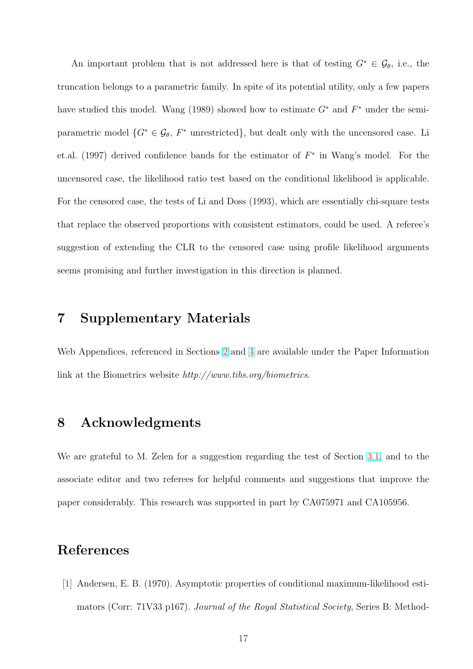An important problem that is not addressed here is that of testing  $G^* \in \mathcal{G}_{\theta}$ , i.e., the truncation belongs to a parametric family. In spite of its potential utility, only a few papers have studied this model. Wang (1989) showed how to estimate  $G^*$  and  $F^*$  under the semiparametric model  $\{G^* \in \mathcal{G}_{\theta}, F^*$  unrestricted, but dealt only with the uncensored case. Li et.al. (1997) derived confidence bands for the estimator of  $F^*$  in Wang's model. For the uncensored case, the likelihood ratio test based on the conditional likelihood is applicable. For the censored case, the tests of Li and Doss (1993), which are essentially chi-square tests that replace the observed proportions with consistent estimators, could be used. A referee's suggestion of extending the CLR to the censored case using profile likelihood arguments seems promising and further investigation in this direction is planned.

# 7 Supplementary Materials

Web Appendices, referenced in Sections 2 and 4 are available under the Paper Information link at the Biometrics website http://www.tibs.org/biometrics.

# 8 Acknowledgments

We are grateful to M. Zelen for a suggestion regarding the test of Section 3.1, and to the associate editor and two referees for helpful comments and suggestions that improve the paper considerably. This research was supported in part by CA075971 and [CA1](#page-7-0)05956.

# References

[1] Andersen, E. B. (1970). Asymptotic properties of conditional maximum-likelihood estimators (Corr: 71V33 p167). Journal of the Royal Statistical Society, Series B: Method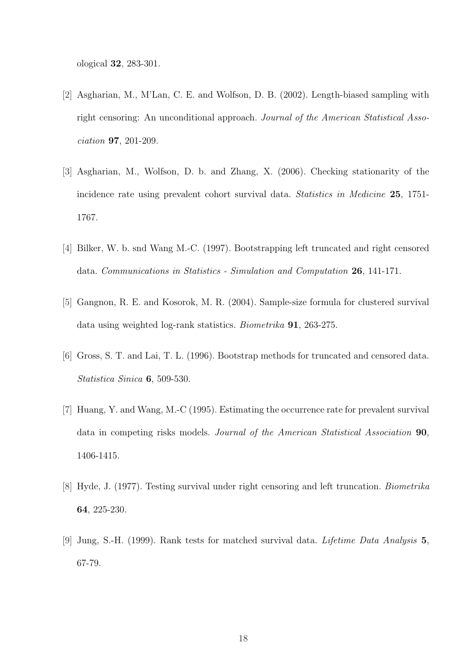ological 32, 283-301.

- [2] Asgharian, M., M'Lan, C. E. and Wolfson, D. B. (2002). Length-biased sampling with right censoring: An unconditional approach. Journal of the American Statistical Association 97, 201-209.
- [3] Asgharian, M., Wolfson, D. b. and Zhang, X. (2006). Checking stationarity of the incidence rate using prevalent cohort survival data. Statistics in Medicine 25, 1751- 1767.
- [4] Bilker, W. b. snd Wang M.-C. (1997). Bootstrapping left truncated and right censored data. Communications in Statistics - Simulation and Computation 26, 141-171.
- [5] Gangnon, R. E. and Kosorok, M. R. (2004). Sample-size formula for clustered survival data using weighted log-rank statistics. Biometrika 91, 263-275.
- [6] Gross, S. T. and Lai, T. L. (1996). Bootstrap methods for truncated and censored data. Statistica Sinica 6, 509-530.
- [7] Huang, Y. and Wang, M.-C (1995). Estimating the occurrence rate for prevalent survival data in competing risks models. Journal of the American Statistical Association 90, 1406-1415.
- [8] Hyde, J. (1977). Testing survival under right censoring and left truncation. Biometrika 64, 225-230.
- [9] Jung, S.-H. (1999). Rank tests for matched survival data. Lifetime Data Analysis 5, 67-79.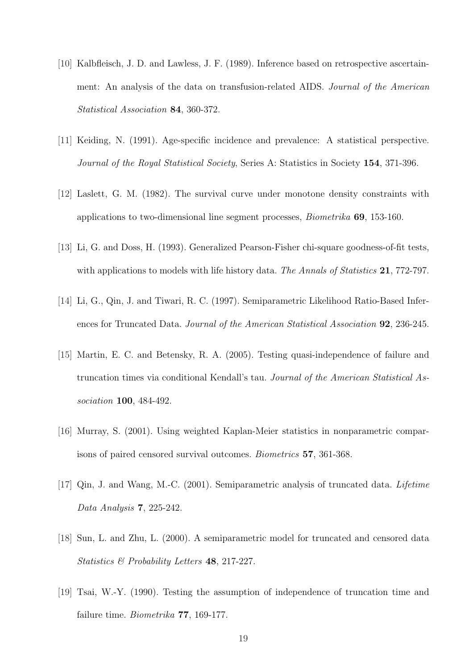- [10] Kalbfleisch, J. D. and Lawless, J. F. (1989). Inference based on retrospective ascertainment: An analysis of the data on transfusion-related AIDS. Journal of the American Statistical Association 84, 360-372.
- [11] Keiding, N. (1991). Age-specific incidence and prevalence: A statistical perspective. Journal of the Royal Statistical Society, Series A: Statistics in Society 154, 371-396.
- [12] Laslett, G. M. (1982). The survival curve under monotone density constraints with applications to two-dimensional line segment processes, Biometrika 69, 153-160.
- [13] Li, G. and Doss, H. (1993). Generalized Pearson-Fisher chi-square goodness-of-fit tests, with applications to models with life history data. The Annals of Statistics 21, 772-797.
- [14] Li, G., Qin, J. and Tiwari, R. C. (1997). Semiparametric Likelihood Ratio-Based Inferences for Truncated Data. Journal of the American Statistical Association 92, 236-245.
- [15] Martin, E. C. and Betensky, R. A. (2005). Testing quasi-independence of failure and truncation times via conditional Kendall's tau. Journal of the American Statistical Association **100**, 484-492.
- [16] Murray, S. (2001). Using weighted Kaplan-Meier statistics in nonparametric comparisons of paired censored survival outcomes. Biometrics 57, 361-368.
- [17] Qin, J. and Wang, M.-C. (2001). Semiparametric analysis of truncated data. Lifetime Data Analysis 7, 225-242.
- [18] Sun, L. and Zhu, L. (2000). A semiparametric model for truncated and censored data Statistics & Probability Letters 48, 217-227.
- [19] Tsai, W.-Y. (1990). Testing the assumption of independence of truncation time and failure time. *Biometrika* **77**, 169-177.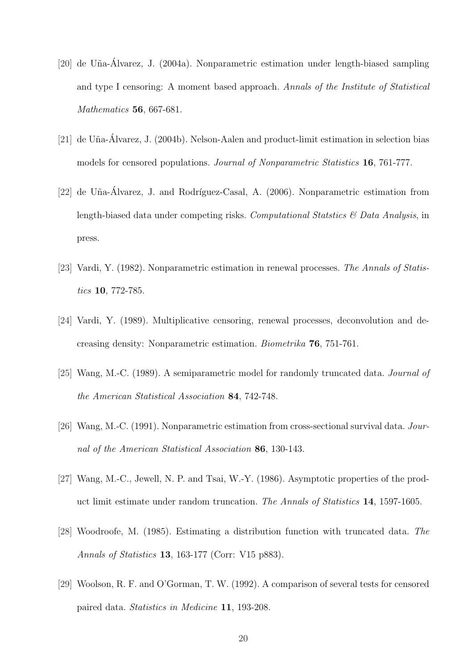- [20] de Uña-Álvarez, J. (2004a). Nonparametric estimation under length-biased sampling and type I censoring: A moment based approach. Annals of the Institute of Statistical Mathematics 56, 667-681.
- [21] de Uña-Álvarez, J. (2004b). Nelson-Aalen and product-limit estimation in selection bias models for censored populations. Journal of Nonparametric Statistics 16, 761-777.
- [22] de Uña-Álvarez, J. and Rodríguez-Casal, A. (2006). Nonparametric estimation from length-biased data under competing risks. Computational Statstics  $\mathcal{B}$  Data Analysis, in press.
- [23] Vardi, Y. (1982). Nonparametric estimation in renewal processes. The Annals of Statistics **10**, 772-785.
- [24] Vardi, Y. (1989). Multiplicative censoring, renewal processes, deconvolution and decreasing density: Nonparametric estimation. Biometrika 76, 751-761.
- [25] Wang, M.-C. (1989). A semiparametric model for randomly truncated data. Journal of the American Statistical Association 84, 742-748.
- [26] Wang, M.-C. (1991). Nonparametric estimation from cross-sectional survival data. Journal of the American Statistical Association 86, 130-143.
- [27] Wang, M.-C., Jewell, N. P. and Tsai, W.-Y. (1986). Asymptotic properties of the product limit estimate under random truncation. The Annals of Statistics 14, 1597-1605.
- [28] Woodroofe, M. (1985). Estimating a distribution function with truncated data. The Annals of Statistics **13**, 163-177 (Corr: V15 p883).
- [29] Woolson, R. F. and O'Gorman, T. W. (1992). A comparison of several tests for censored paired data. Statistics in Medicine 11, 193-208.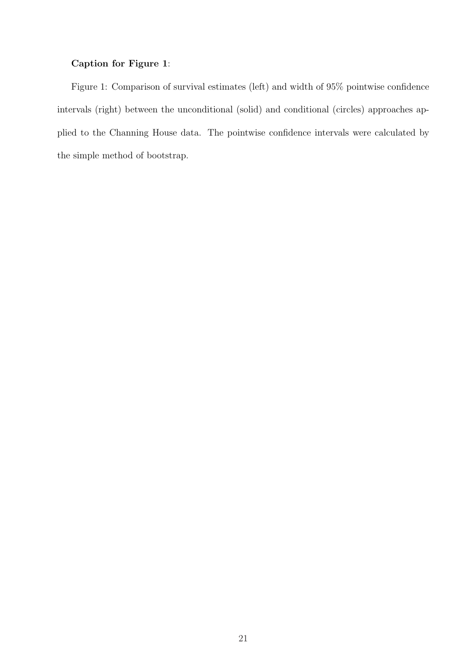### Caption for Figure 1:

Figure 1: Comparison of survival estimates (left) and width of 95% pointwise confidence intervals (right) between the unconditional (solid) and conditional (circles) approaches applied to the Channing House data. The pointwise confidence intervals were calculated by the simple method of bootstrap.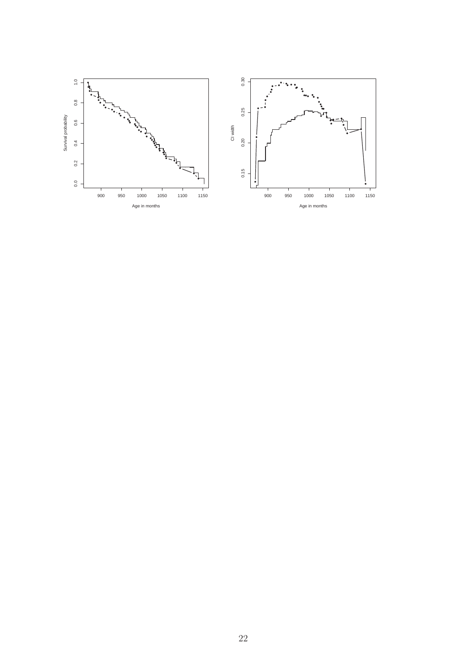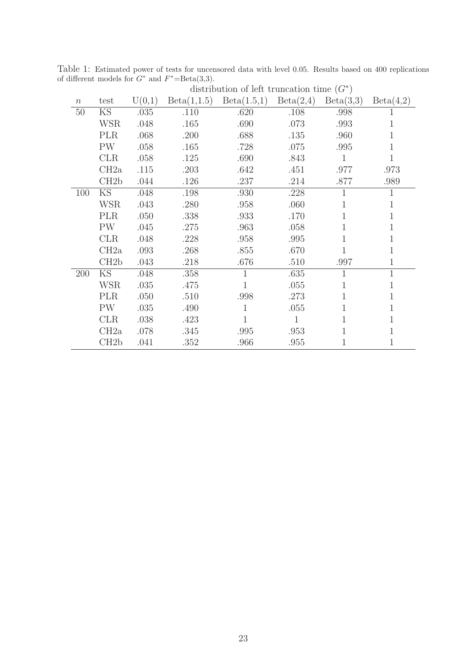<span id="page-24-0"></span>Table 1: Estimated power of tests for uncensored data with level 0.05. Results based on 400 replications of different models for  $G^*$  and  $F^* = Beta(3,3)$ .

|                  |                   |        | distribution of left truncation time $(G^*)$ |              |              |              |              |  |  |
|------------------|-------------------|--------|----------------------------------------------|--------------|--------------|--------------|--------------|--|--|
| $\boldsymbol{n}$ | test              | U(0,1) | Beta(1,1.5)                                  | Beta(1.5,1)  | Beta(2,4)    | Beta(3,3)    | Beta(4,2)    |  |  |
| 50               | KS                | .035   | .110                                         | .620         | .108         | .998         | 1            |  |  |
|                  | <b>WSR</b>        | .048   | .165                                         | .690         | .073         | .993         | 1            |  |  |
|                  | <b>PLR</b>        | .068   | .200                                         | .688         | .135         | .960         | 1            |  |  |
|                  | <b>PW</b>         | .058   | .165                                         | .728         | .075         | .995         | $\mathbf{1}$ |  |  |
|                  | <b>CLR</b>        | .058   | .125                                         | .690         | .843         | $\mathbf{1}$ | 1            |  |  |
|                  | CH2a              | .115   | .203                                         | .642         | .451         | .977         | .973         |  |  |
|                  | CH <sub>2</sub> b | .044   | .126                                         | .237         | .214         | .877         | .989         |  |  |
| 100              | <b>KS</b>         | .048   | .198                                         | .930         | .228         | 1            | 1            |  |  |
|                  | <b>WSR</b>        | .043   | .280                                         | .958         | .060         | 1            | 1            |  |  |
|                  | <b>PLR</b>        | .050   | .338                                         | .933         | .170         | 1            | 1            |  |  |
|                  | PW                | .045   | .275                                         | .963         | .058         | 1            | 1            |  |  |
|                  | <b>CLR</b>        | .048   | .228                                         | .958         | .995         | 1            | $\mathbf{1}$ |  |  |
|                  | CH2a              | .093   | .268                                         | .855         | .670         | 1            | 1            |  |  |
|                  | CH <sub>2</sub> b | .043   | .218                                         | .676         | .510         | .997         | 1            |  |  |
| 200              | KS                | .048   | .358                                         | $\mathbf{1}$ | .635         | 1            | $\mathbf{1}$ |  |  |
|                  | <b>WSR</b>        | .035   | .475                                         | $\mathbf{1}$ | .055         | 1            | 1            |  |  |
|                  | <b>PLR</b>        | .050   | .510                                         | .998         | .273         | 1            | 1            |  |  |
|                  | <b>PW</b>         | .035   | .490                                         | $\mathbf{1}$ | .055         | 1            | 1            |  |  |
|                  | <b>CLR</b>        | .038   | .423                                         | 1            | $\mathbf{1}$ | 1            | $\mathbf 1$  |  |  |
|                  | CH2a              | .078   | .345                                         | .995         | .953         | 1            | $\mathbf{1}$ |  |  |
|                  | CH2b              | .041   | .352                                         | .966         | .955         | 1            | 1            |  |  |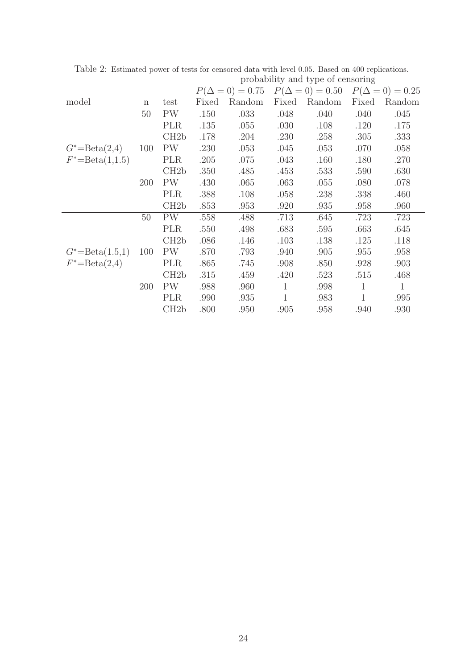|             |            | propability and type of censoring |        |              |        |              |                                                                      |
|-------------|------------|-----------------------------------|--------|--------------|--------|--------------|----------------------------------------------------------------------|
|             |            |                                   |        |              |        |              |                                                                      |
| $\mathbf n$ | test       | Fixed                             | Random | Fixed        | Random | Fixed        | Random                                                               |
| 50          | <b>PW</b>  | .150                              | .033   | .048         | .040   | .040         | .045                                                                 |
|             | <b>PLR</b> | .135                              | .055   | .030         | .108   | .120         | .175                                                                 |
|             | CH2b       | .178                              | .204   | .230         | .258   | .305         | .333                                                                 |
| 100         | <b>PW</b>  | .230                              | .053   | .045         | .053   | .070         | .058                                                                 |
|             | <b>PLR</b> | .205                              | .075   | .043         | .160   | .180         | .270                                                                 |
|             | CH2b       | .350                              | .485   | .453         | .533   | .590         | .630                                                                 |
| 200         | <b>PW</b>  | .430                              | .065   | .063         | .055   | .080         | .078                                                                 |
|             | <b>PLR</b> | .388                              | .108   | .058         | .238   | .338         | .460                                                                 |
|             | CH2b       | .853                              | .953   | .920         | .935   | .958         | .960                                                                 |
| 50          | <b>PW</b>  | .558                              | .488   | .713         | .645   | .723         | .723                                                                 |
|             | <b>PLR</b> | .550                              | .498   | .683         | .595   | .663         | .645                                                                 |
|             | CH2b       | .086                              | .146   | .103         | .138   | .125         | .118                                                                 |
| 100         | <b>PW</b>  | .870                              | .793   | .940         | .905   | .955         | .958                                                                 |
|             | <b>PLR</b> | .865                              | .745   | .908         | .850   | .928         | .903                                                                 |
|             | CH2b       | .315                              | .459   | .420         | .523   | .515         | .468                                                                 |
| 200         | <b>PW</b>  | .988                              | .960   | $\mathbf{1}$ | .998   | $\mathbf{1}$ | $\mathbf{1}$                                                         |
|             | <b>PLR</b> | .990                              | .935   | 1            | .983   | 1            | .995                                                                 |
|             | CH2b       | .800                              | .950   | .905         | .958   | .940         | .930                                                                 |
|             |            |                                   |        |              |        |              | $P(\Delta = 0) = 0.75$ $P(\Delta = 0) = 0.50$ $P(\Delta = 0) = 0.25$ |

<span id="page-25-0"></span>Table 2: Estimated power of tests for censored data with level 0.05. Based on 400 replications. probability and type of censoring